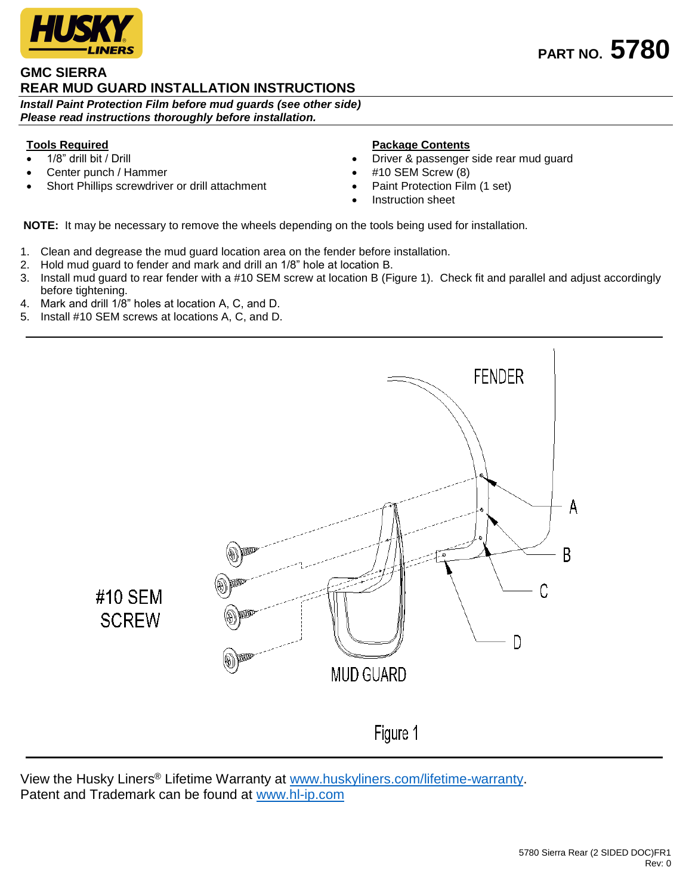

## **GMC SIERRA REAR MUD GUARD INSTALLATION INSTRUCTIONS**

*Install Paint Protection Film before mud guards (see other side) Please read instructions thoroughly before installation.*

## **Tools Required**

- 1/8" drill bit / Drill
- Center punch / Hammer
- Short Phillips screwdriver or drill attachment

## **Package Contents**

- Driver & passenger side rear mud guard
- #10 SEM Screw (8)
- Paint Protection Film (1 set)
- Instruction sheet

**NOTE:** It may be necessary to remove the wheels depending on the tools being used for installation.

- 1. Clean and degrease the mud guard location area on the fender before installation.
- 2. Hold mud guard to fender and mark and drill an 1/8" hole at location B.
- 3. Install mud guard to rear fender with a #10 SEM screw at location B (Figure 1). Check fit and parallel and adjust accordingly before tightening.
- 4. Mark and drill 1/8" holes at location A, C, and D.
- 5. Install #10 SEM screws at locations A, C, and D.



View the Husky Liners® Lifetime Warranty at [www.huskyliners.com/lifetime-warranty.](http://www.huskyliners.com/lifetime-warranty) Patent and Trademark can be found at [www.hl-ip.com](http://www.hl-ip.com/)